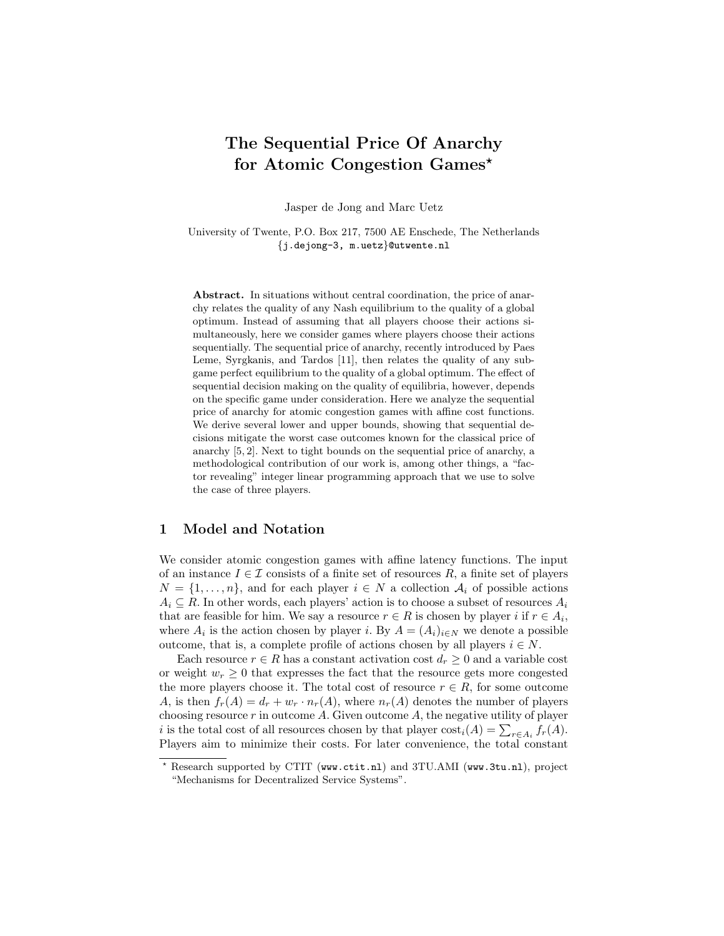# The Sequential Price Of Anarchy for Atomic Congestion Games<sup>\*</sup>

Jasper de Jong and Marc Uetz

University of Twente, P.O. Box 217, 7500 AE Enschede, The Netherlands {j.dejong-3, m.uetz}@utwente.nl

Abstract. In situations without central coordination, the price of anarchy relates the quality of any Nash equilibrium to the quality of a global optimum. Instead of assuming that all players choose their actions simultaneously, here we consider games where players choose their actions sequentially. The sequential price of anarchy, recently introduced by Paes Leme, Syrgkanis, and Tardos [11], then relates the quality of any subgame perfect equilibrium to the quality of a global optimum. The effect of sequential decision making on the quality of equilibria, however, depends on the specific game under consideration. Here we analyze the sequential price of anarchy for atomic congestion games with affine cost functions. We derive several lower and upper bounds, showing that sequential decisions mitigate the worst case outcomes known for the classical price of anarchy [5, 2]. Next to tight bounds on the sequential price of anarchy, a methodological contribution of our work is, among other things, a "factor revealing" integer linear programming approach that we use to solve the case of three players.

## 1 Model and Notation

We consider atomic congestion games with affine latency functions. The input of an instance  $I \in \mathcal{I}$  consists of a finite set of resources R, a finite set of players  $N = \{1, \ldots, n\}$ , and for each player  $i \in N$  a collection  $\mathcal{A}_i$  of possible actions  $A_i \subseteq R$ . In other words, each players' action is to choose a subset of resources  $A_i$ that are feasible for him. We say a resource  $r \in R$  is chosen by player i if  $r \in A_i$ , where  $A_i$  is the action chosen by player *i*. By  $A = (A_i)_{i \in N}$  we denote a possible outcome, that is, a complete profile of actions chosen by all players  $i \in N$ .

Each resource  $r \in R$  has a constant activation cost  $d_r \geq 0$  and a variable cost or weight  $w_r \geq 0$  that expresses the fact that the resource gets more congested the more players choose it. The total cost of resource  $r \in R$ , for some outcome A, is then  $f_r(A) = d_r + w_r \cdot n_r(A)$ , where  $n_r(A)$  denotes the number of players choosing resource  $r$  in outcome  $A$ . Given outcome  $A$ , the negative utility of player i is the total cost of all resources chosen by that player  $cost_i(A) = \sum_{r \in A_i} f_r(A)$ . Players aim to minimize their costs. For later convenience, the total constant

<sup>?</sup> Research supported by CTIT (www.ctit.nl) and 3TU.AMI (www.3tu.nl), project "Mechanisms for Decentralized Service Systems".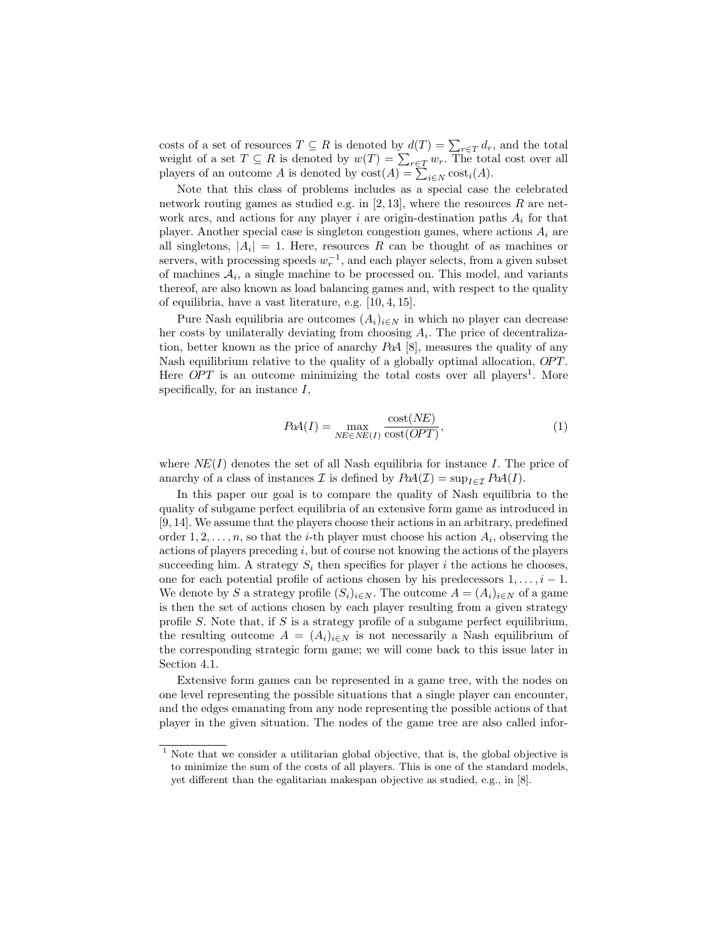costs of a set of resources  $T \subseteq R$  is denoted by  $d(T) = \sum_{r \in T} d_r$ , and the total weight of a set  $T \subseteq R$  is denoted by  $w(T) = \sum_{r \in T} w_r$ . The total cost over all players of an outcome A is denoted by  $\text{cost}(A) = \sum_{i \in N} \text{cost}_i(A)$ .

Note that this class of problems includes as a special case the celebrated network routing games as studied e.g. in [2, 13], where the resources  $R$  are network arcs, and actions for any player i are origin-destination paths  $A_i$  for that player. Another special case is singleton congestion games, where actions  $A_i$  are all singletons,  $|A_i| = 1$ . Here, resources R can be thought of as machines or servers, with processing speeds  $w_r^{-1}$ , and each player selects, from a given subset of machines  $A_i$ , a single machine to be processed on. This model, and variants thereof, are also known as load balancing games and, with respect to the quality of equilibria, have a vast literature, e.g. [10, 4, 15].

Pure Nash equilibria are outcomes  $(A_i)_{i\in N}$  in which no player can decrease her costs by unilaterally deviating from choosing  $A_i$ . The price of decentralization, better known as the price of anarchy PoA [8], measures the quality of any Nash equilibrium relative to the quality of a globally optimal allocation, *OPT*. Here  $OPT$  is an outcome minimizing the total costs over all players<sup>1</sup>. More specifically, for an instance  $I$ ,

$$
PaA(I) = \max_{NE \in NE(I)} \frac{\text{cost}(NE)}{\text{cost}(OPT)},
$$
\n(1)

where  $NE(I)$  denotes the set of all Nash equilibria for instance I. The price of anarchy of a class of instances  $\mathcal I$  is defined by  $P\alpha A(\mathcal I) = \sup_{I \in \mathcal I} P\alpha A(I)$ .

In this paper our goal is to compare the quality of Nash equilibria to the quality of subgame perfect equilibria of an extensive form game as introduced in [9, 14]. We assume that the players choose their actions in an arbitrary, predefined order  $1, 2, \ldots, n$ , so that the *i*-th player must choose his action  $A_i$ , observing the actions of players preceding  $i$ , but of course not knowing the actions of the players succeeding him. A strategy  $S_i$  then specifies for player i the actions he chooses, one for each potential profile of actions chosen by his predecessors  $1, \ldots, i-1$ . We denote by S a strategy profile  $(S_i)_{i\in N}$ . The outcome  $A = (A_i)_{i\in N}$  of a game is then the set of actions chosen by each player resulting from a given strategy profile  $S$ . Note that, if  $S$  is a strategy profile of a subgame perfect equilibrium, the resulting outcome  $A = (A_i)_{i \in N}$  is not necessarily a Nash equilibrium of the corresponding strategic form game; we will come back to this issue later in Section 4.1.

Extensive form games can be represented in a game tree, with the nodes on one level representing the possible situations that a single player can encounter, and the edges emanating from any node representing the possible actions of that player in the given situation. The nodes of the game tree are also called infor-

<sup>&</sup>lt;sup>1</sup> Note that we consider a utilitarian global objective, that is, the global objective is to minimize the sum of the costs of all players. This is one of the standard models, yet different than the egalitarian makespan objective as studied, e.g., in [8].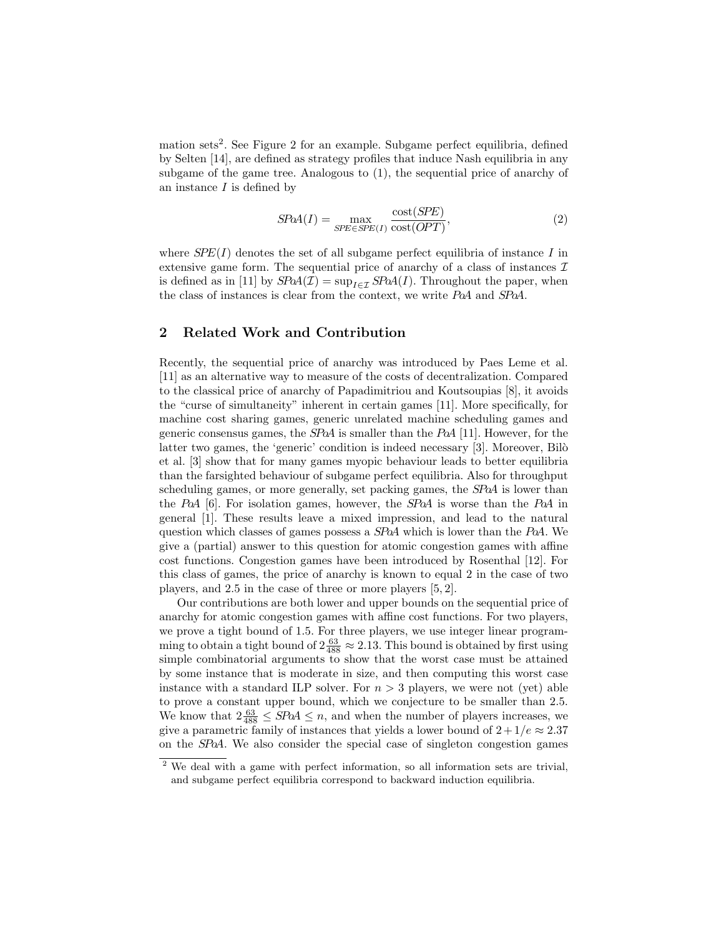mation sets<sup>2</sup>. See Figure 2 for an example. Subgame perfect equilibria, defined by Selten [14], are defined as strategy profiles that induce Nash equilibria in any subgame of the game tree. Analogous to (1), the sequential price of anarchy of an instance  $I$  is defined by

$$
SPaA(I) = \max_{SPE \in SPE(I)} \frac{\text{cost}(SPE)}{\text{cost}(OPT)},
$$
\n(2)

where  $SPE(I)$  denotes the set of all subgame perfect equilibria of instance I in extensive game form. The sequential price of anarchy of a class of instances  $\mathcal I$ is defined as in [11] by  $SPaA(\mathcal{I}) = \sup_{I \in \mathcal{I}} SPa(A(I))$ . Throughout the paper, when the class of instances is clear from the context, we write PoA and SPoA.

# 2 Related Work and Contribution

Recently, the sequential price of anarchy was introduced by Paes Leme et al. [11] as an alternative way to measure of the costs of decentralization. Compared to the classical price of anarchy of Papadimitriou and Koutsoupias [8], it avoids the "curse of simultaneity" inherent in certain games [11]. More specifically, for machine cost sharing games, generic unrelated machine scheduling games and generic consensus games, the  $SPaA$  is smaller than the  $PaA$  [11]. However, for the latter two games, the 'generic' condition is indeed necessary [3]. Moreover, Bilò et al. [3] show that for many games myopic behaviour leads to better equilibria than the farsighted behaviour of subgame perfect equilibria. Also for throughput scheduling games, or more generally, set packing games, the SPoA is lower than the PoA [6]. For isolation games, however, the SPoA is worse than the PoA in general [1]. These results leave a mixed impression, and lead to the natural question which classes of games possess a SPoA which is lower than the PoA. We give a (partial) answer to this question for atomic congestion games with affine cost functions. Congestion games have been introduced by Rosenthal [12]. For this class of games, the price of anarchy is known to equal 2 in the case of two players, and 2.5 in the case of three or more players [5, 2].

Our contributions are both lower and upper bounds on the sequential price of anarchy for atomic congestion games with affine cost functions. For two players, we prove a tight bound of 1.5. For three players, we use integer linear programming to obtain a tight bound of  $2\frac{63}{488} \approx 2.13$ . This bound is obtained by first using simple combinatorial arguments to show that the worst case must be attained by some instance that is moderate in size, and then computing this worst case instance with a standard ILP solver. For  $n > 3$  players, we were not (yet) able to prove a constant upper bound, which we conjecture to be smaller than 2.5. We know that  $2\frac{63}{488} \leq$  SPoA  $\leq n$ , and when the number of players increases, we give a parametric family of instances that yields a lower bound of  $2 + 1/e \approx 2.37$ on the SPoA. We also consider the special case of singleton congestion games

<sup>&</sup>lt;sup>2</sup> We deal with a game with perfect information, so all information sets are trivial, and subgame perfect equilibria correspond to backward induction equilibria.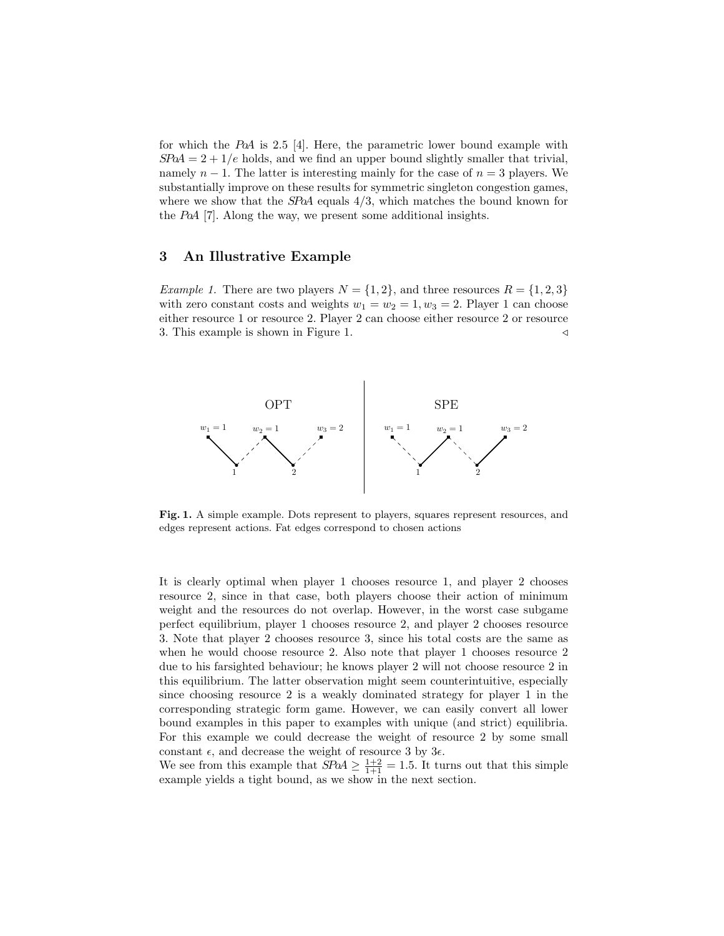for which the PoA is 2.5 [4]. Here, the parametric lower bound example with  $S\ddot{P}oA = 2 + 1/e$  holds, and we find an upper bound slightly smaller that trivial, namely  $n-1$ . The latter is interesting mainly for the case of  $n=3$  players. We substantially improve on these results for symmetric singleton congestion games, where we show that the  $SPA$  equals  $4/3$ , which matches the bound known for the PoA [7]. Along the way, we present some additional insights.

# 3 An Illustrative Example

Example 1. There are two players  $N = \{1, 2\}$ , and three resources  $R = \{1, 2, 3\}$ with zero constant costs and weights  $w_1 = w_2 = 1, w_3 = 2$ . Player 1 can choose either resource 1 or resource 2. Player 2 can choose either resource 2 or resource 3. This example is shown in Figure 1.  $\triangleleft$ 



Fig. 1. A simple example. Dots represent to players, squares represent resources, and edges represent actions. Fat edges correspond to chosen actions

It is clearly optimal when player 1 chooses resource 1, and player 2 chooses resource 2, since in that case, both players choose their action of minimum weight and the resources do not overlap. However, in the worst case subgame perfect equilibrium, player 1 chooses resource 2, and player 2 chooses resource 3. Note that player 2 chooses resource 3, since his total costs are the same as when he would choose resource 2. Also note that player 1 chooses resource 2 due to his farsighted behaviour; he knows player 2 will not choose resource 2 in this equilibrium. The latter observation might seem counterintuitive, especially since choosing resource 2 is a weakly dominated strategy for player 1 in the corresponding strategic form game. However, we can easily convert all lower bound examples in this paper to examples with unique (and strict) equilibria. For this example we could decrease the weight of resource 2 by some small constant  $\epsilon$ , and decrease the weight of resource 3 by  $3\epsilon$ .

We see from this example that  $SPA \geq \frac{1+2}{1+1} = 1.5$ . It turns out that this simple example yields a tight bound, as we show in the next section.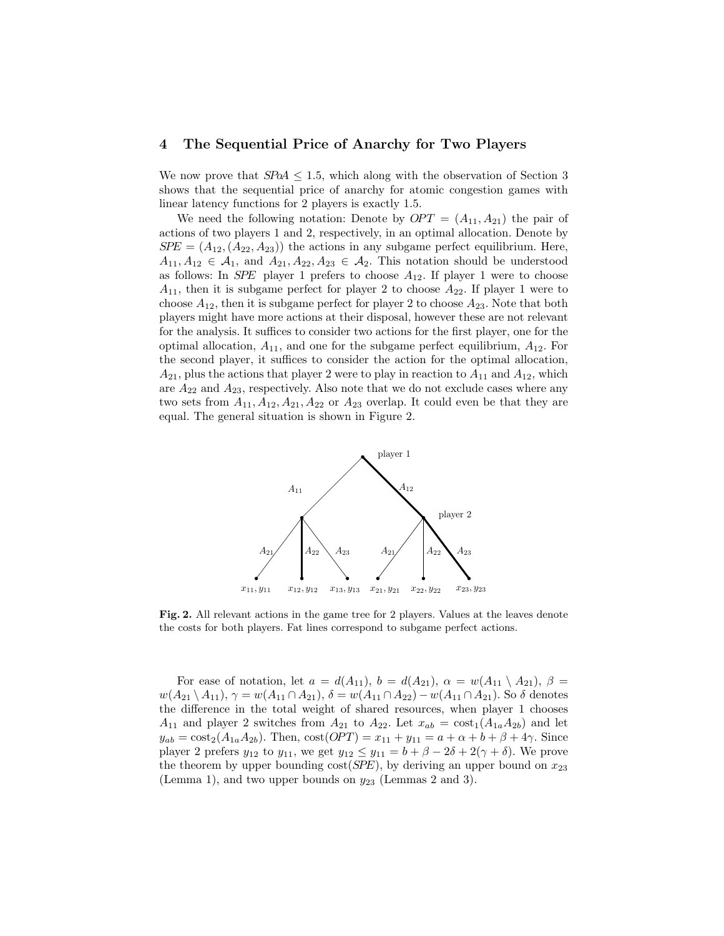## 4 The Sequential Price of Anarchy for Two Players

We now prove that  $SPoA \leq 1.5$ , which along with the observation of Section 3 shows that the sequential price of anarchy for atomic congestion games with linear latency functions for 2 players is exactly 1.5.

We need the following notation: Denote by  $OPT = (A_{11}, A_{21})$  the pair of actions of two players 1 and 2, respectively, in an optimal allocation. Denote by  $SPE = (A_{12}, (A_{22}, A_{23}))$  the actions in any subgame perfect equilibrium. Here,  $A_{11}, A_{12} \in \mathcal{A}_1$ , and  $A_{21}, A_{22}, A_{23} \in \mathcal{A}_2$ . This notation should be understood as follows: In SPE player 1 prefers to choose  $A_{12}$ . If player 1 were to choose  $A_{11}$ , then it is subgame perfect for player 2 to choose  $A_{22}$ . If player 1 were to choose  $A_{12}$ , then it is subgame perfect for player 2 to choose  $A_{23}$ . Note that both players might have more actions at their disposal, however these are not relevant for the analysis. It suffices to consider two actions for the first player, one for the optimal allocation,  $A_{11}$ , and one for the subgame perfect equilibrium,  $A_{12}$ . For the second player, it suffices to consider the action for the optimal allocation,  $A_{21}$ , plus the actions that player 2 were to play in reaction to  $A_{11}$  and  $A_{12}$ , which are  $A_{22}$  and  $A_{23}$ , respectively. Also note that we do not exclude cases where any two sets from  $A_{11}, A_{12}, A_{21}, A_{22}$  or  $A_{23}$  overlap. It could even be that they are equal. The general situation is shown in Figure 2.



Fig. 2. All relevant actions in the game tree for 2 players. Values at the leaves denote the costs for both players. Fat lines correspond to subgame perfect actions.

For ease of notation, let  $a = d(A_{11}), b = d(A_{21}), \alpha = w(A_{11} \setminus A_{21}), \beta =$  $w(A_{21} \setminus A_{11}), \gamma = w(A_{11} \cap A_{21}), \delta = w(A_{11} \cap A_{22}) - w(A_{11} \cap A_{21}).$  So  $\delta$  denotes the difference in the total weight of shared resources, when player 1 chooses  $A_{11}$  and player 2 switches from  $A_{21}$  to  $A_{22}$ . Let  $x_{ab} = \cos t_1(A_{1a}A_{2b})$  and let  $y_{ab} = \cos t_2(A_{1a}A_{2b})$ . Then,  $\cos t(OPT) = x_{11} + y_{11} = a + \alpha + b + \beta + 4\gamma$ . Since player 2 prefers  $y_{12}$  to  $y_{11}$ , we get  $y_{12} \le y_{11} = b + \beta - 2\delta + 2(\gamma + \delta)$ . We prove the theorem by upper bounding  $cost(SPE)$ , by deriving an upper bound on  $x_{23}$ (Lemma 1), and two upper bounds on  $y_{23}$  (Lemmas 2 and 3).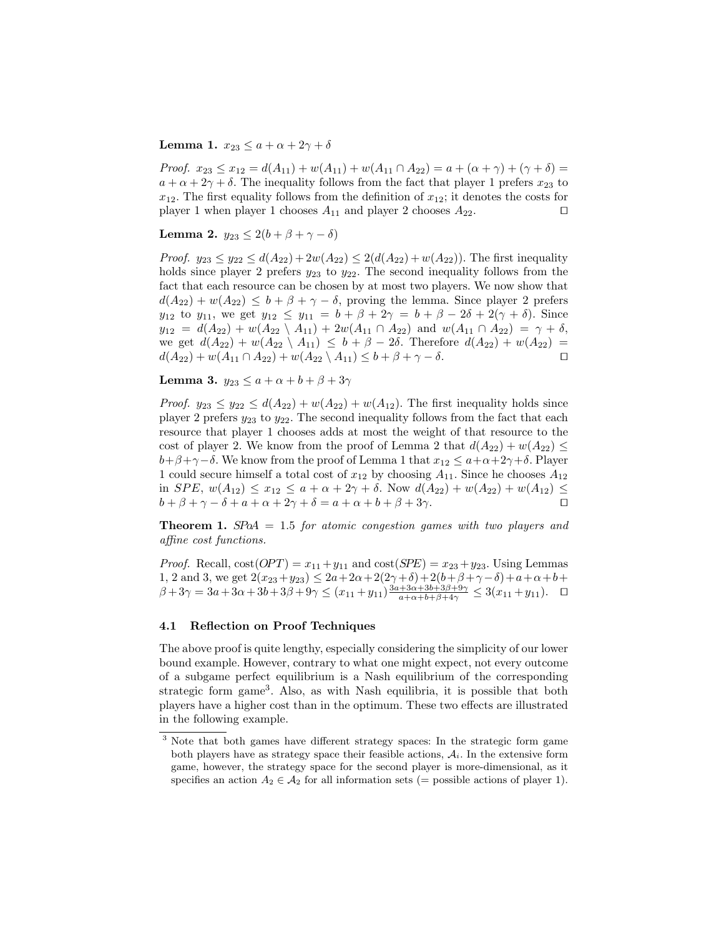## Lemma 1.  $x_{23} \le a + \alpha + 2\gamma + \delta$

Proof.  $x_{23} \le x_{12} = d(A_{11}) + w(A_{11}) + w(A_{11} \cap A_{22}) = a + (\alpha + \gamma) + (\gamma + \delta) =$  $a + \alpha + 2\gamma + \delta$ . The inequality follows from the fact that player 1 prefers  $x_{23}$  to  $x_{12}$ . The first equality follows from the definition of  $x_{12}$ ; it denotes the costs for player 1 when player 1 chooses  $A_{11}$  and player 2 chooses  $A_{22}$ .

Lemma 2.  $y_{23} \leq 2(b + \beta + \gamma - \delta)$ 

*Proof.*  $y_{23} \le y_{22} \le d(A_{22}) + 2w(A_{22}) \le 2(d(A_{22}) + w(A_{22}))$ . The first inequality holds since player 2 prefers  $y_{23}$  to  $y_{22}$ . The second inequality follows from the fact that each resource can be chosen by at most two players. We now show that  $d(A_{22}) + w(A_{22}) \leq b + \beta + \gamma - \delta$ , proving the lemma. Since player 2 prefers  $y_{12}$  to  $y_{11}$ , we get  $y_{12} \le y_{11} = b + \beta + 2\gamma = b + \beta - 2\delta + 2(\gamma + \delta)$ . Since  $y_{12} = d(A_{22}) + w(A_{22} \setminus A_{11}) + 2w(A_{11} \cap A_{22})$  and  $w(A_{11} \cap A_{22}) = \gamma + \delta$ , we get  $d(A_{22}) + w(A_{22} \setminus A_{11}) \leq b + \beta - 2\delta$ . Therefore  $d(A_{22}) + w(A_{22}) =$ <br> $d(A_{22}) + w(A_{11} \cap A_{22}) + w(A_{22} \setminus A_{11}) \leq b + \beta + \gamma - \delta$ .  $d(A_{22}) + w(A_{11} \cap A_{22}) + w(A_{22} \setminus A_{11}) \leq b + \beta + \gamma - \delta.$ 

Lemma 3.  $y_{23} \leq a + \alpha + b + \beta + 3\gamma$ 

*Proof.*  $y_{23} \le y_{22} \le d(A_{22}) + w(A_{22}) + w(A_{12})$ . The first inequality holds since player 2 prefers  $y_{23}$  to  $y_{22}$ . The second inequality follows from the fact that each resource that player 1 chooses adds at most the weight of that resource to the cost of player 2. We know from the proof of Lemma 2 that  $d(A_{22}) + w(A_{22}) \leq$  $b+\beta+\gamma-\delta$ . We know from the proof of Lemma 1 that  $x_{12} \leq a+\alpha+2\gamma+\delta$ . Player 1 could secure himself a total cost of  $x_{12}$  by choosing  $A_{11}$ . Since he chooses  $A_{12}$ in SPE,  $w(A_{12}) \le x_{12} \le a + \alpha + 2\gamma + \delta$ . Now  $d(A_{22}) + w(A_{22}) + w(A_{12}) \le b + \beta + \gamma - \delta + a + \alpha + 2\gamma + \delta = a + \alpha + b + \beta + 3\gamma$ .  $b + \beta + \gamma - \delta + a + \alpha + 2\gamma + \delta = a + \alpha + b + \beta + 3\gamma.$ 

**Theorem 1.**  $SPA = 1.5$  for atomic congestion games with two players and affine cost functions.

*Proof.* Recall,  $cost(OPT) = x_{11} + y_{11}$  and  $cost(SPE) = x_{23} + y_{23}$ . Using Lemmas 1, 2 and 3, we get  $2(x_{23}+y_{23}) \leq 2a+2\alpha+2(2\gamma+\delta)+2(b+\beta+\gamma-\delta)+a+\alpha+b+$  $β+3γ = 3a+3α+3b+3β+9γ ≤ (x<sub>11</sub>+y<sub>11</sub>)\frac{3a+3α+3b+3β+9γ}{a+α+b+β+4γ} ≤ 3(x<sub>11</sub>+y<sub>11</sub>).$ 

#### 4.1 Reflection on Proof Techniques

The above proof is quite lengthy, especially considering the simplicity of our lower bound example. However, contrary to what one might expect, not every outcome of a subgame perfect equilibrium is a Nash equilibrium of the corresponding strategic form game<sup>3</sup> . Also, as with Nash equilibria, it is possible that both players have a higher cost than in the optimum. These two effects are illustrated in the following example.

<sup>&</sup>lt;sup>3</sup> Note that both games have different strategy spaces: In the strategic form game both players have as strategy space their feasible actions,  $A<sub>i</sub>$ . In the extensive form game, however, the strategy space for the second player is more-dimensional, as it specifies an action  $A_2 \in \mathcal{A}_2$  for all information sets (= possible actions of player 1).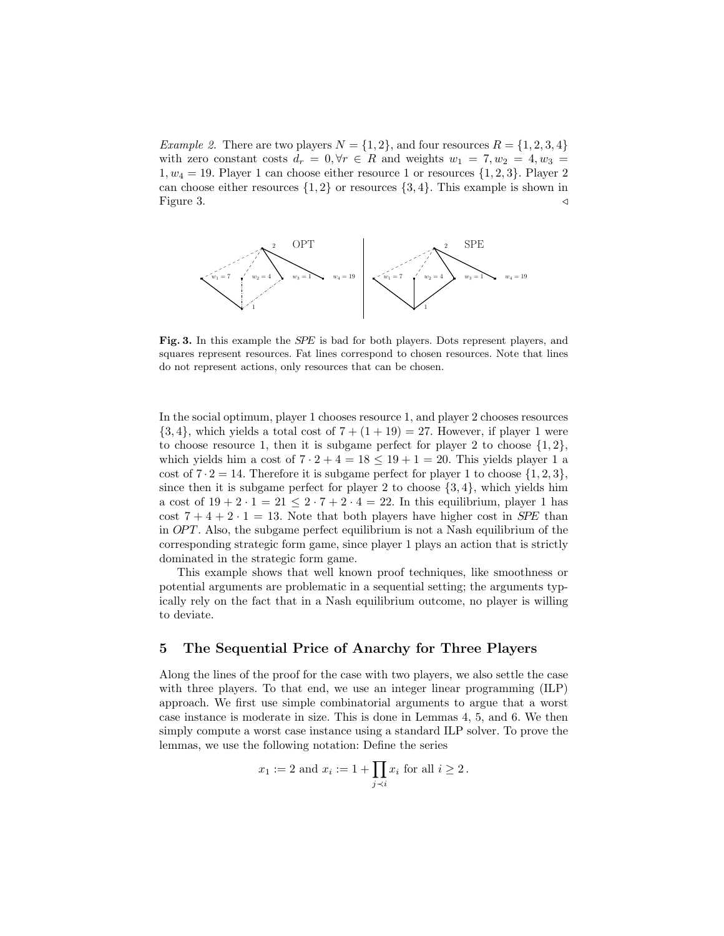*Example 2.* There are two players  $N = \{1, 2\}$ , and four resources  $R = \{1, 2, 3, 4\}$ with zero constant costs  $d_r = 0, \forall r \in R$  and weights  $w_1 = 7, w_2 = 4, w_3 =$  $1, w_4 = 19$ . Player 1 can choose either resource 1 or resources  $\{1, 2, 3\}$ . Player 2 can choose either resources  $\{1, 2\}$  or resources  $\{3, 4\}$ . This example is shown in Figure 3. Figure 3.  $\triangleleft$ 



Fig. 3. In this example the SPE is bad for both players. Dots represent players, and squares represent resources. Fat lines correspond to chosen resources. Note that lines do not represent actions, only resources that can be chosen.

In the social optimum, player 1 chooses resource 1, and player 2 chooses resources  ${3, 4}$ , which yields a total cost of  $7 + (1 + 19) = 27$ . However, if player 1 were to choose resource 1, then it is subgame perfect for player 2 to choose  $\{1,2\}$ , which yields him a cost of  $7 \cdot 2 + 4 = 18 \le 19 + 1 = 20$ . This yields player 1 a cost of  $7 \cdot 2 = 14$ . Therefore it is subgame perfect for player 1 to choose  $\{1, 2, 3\}$ , since then it is subgame perfect for player 2 to choose  $\{3, 4\}$ , which yields him a cost of  $19 + 2 \cdot 1 = 21 \le 2 \cdot 7 + 2 \cdot 4 = 22$ . In this equilibrium, player 1 has cost  $7 + 4 + 2 \cdot 1 = 13$ . Note that both players have higher cost in *SPE* than in  $OPT$ . Also, the subgame perfect equilibrium is not a Nash equilibrium of the corresponding strategic form game, since player 1 plays an action that is strictly dominated in the strategic form game.

This example shows that well known proof techniques, like smoothness or potential arguments are problematic in a sequential setting; the arguments typically rely on the fact that in a Nash equilibrium outcome, no player is willing to deviate.

# 5 The Sequential Price of Anarchy for Three Players

Along the lines of the proof for the case with two players, we also settle the case with three players. To that end, we use an integer linear programming (ILP) approach. We first use simple combinatorial arguments to argue that a worst case instance is moderate in size. This is done in Lemmas 4, 5, and 6. We then simply compute a worst case instance using a standard ILP solver. To prove the lemmas, we use the following notation: Define the series

$$
x_1 := 2
$$
 and  $x_i := 1 + \prod_{j \prec i} x_i$  for all  $i \ge 2$ .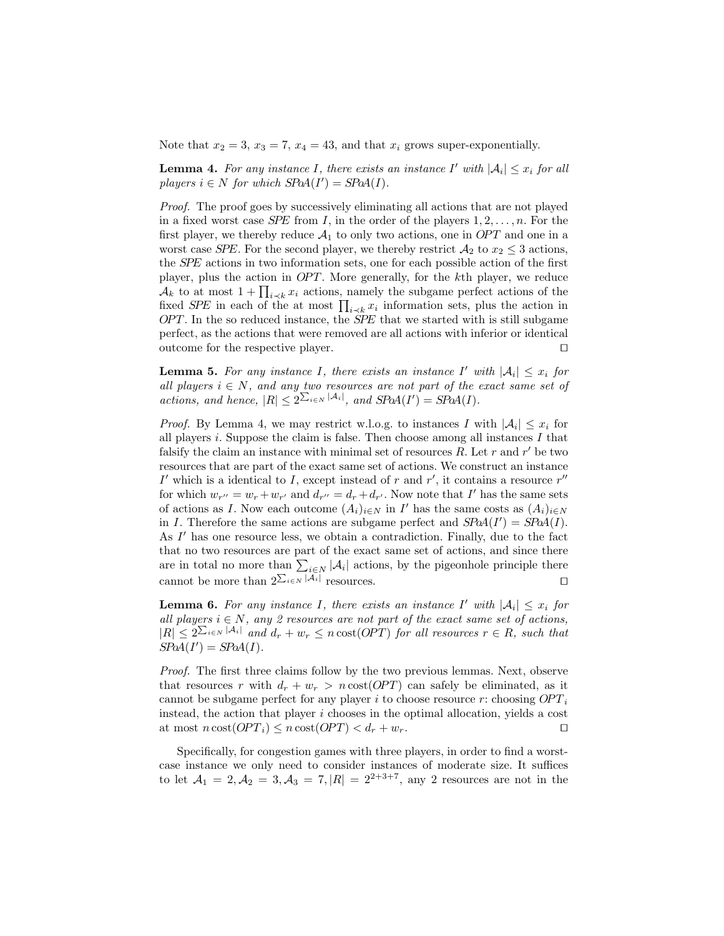Note that  $x_2 = 3$ ,  $x_3 = 7$ ,  $x_4 = 43$ , and that  $x_i$  grows super-exponentially.

**Lemma 4.** For any instance I, there exists an instance I' with  $|A_i| \leq x_i$  for all players  $i \in N$  for which  $SPaA(I') = SPaA(I)$ .

Proof. The proof goes by successively eliminating all actions that are not played in a fixed worst case *SPE* from I, in the order of the players  $1, 2, \ldots, n$ . For the first player, we thereby reduce  $A_1$  to only two actions, one in OPT and one in a worst case *SPE*. For the second player, we thereby restrict  $A_2$  to  $x_2 \leq 3$  actions, the SPE actions in two information sets, one for each possible action of the first player, plus the action in  $OPT$ . More generally, for the kth player, we reduce  $\mathcal{A}_k$  to at most  $1 + \prod_{i \prec k} x_i$  actions, namely the subgame perfect actions of the fixed *SPE* in each of the at most  $\prod_{i \prec k} x_i$  information sets, plus the action in  $OPT$ . In the so reduced instance, the *SPE* that we started with is still subgame perfect, as the actions that were removed are all actions with inferior or identical outcome for the respective player.  $\Box$ 

**Lemma 5.** For any instance I, there exists an instance I' with  $|A_i| \leq x_i$  for all players  $i \in N$ , and any two resources are not part of the exact same set of actions, and hence,  $|R| \leq 2^{\sum_{i \in N} |\mathcal{A}_i|}$ , and  $S\text{PoA}(I') = S\text{PoA}(I)$ .

*Proof.* By Lemma 4, we may restrict w.l.o.g. to instances I with  $|\mathcal{A}_i| \leq x_i$  for all players i. Suppose the claim is false. Then choose among all instances  $I$  that falsify the claim an instance with minimal set of resources  $R$ . Let  $r$  and  $r'$  be two resources that are part of the exact same set of actions. We construct an instance I' which is a identical to I, except instead of r and r', it contains a resource  $r''$ for which  $w_{r''} = w_r + w_{r'}$  and  $d_{r''} = d_r + d_{r'}$ . Now note that I' has the same sets of actions as I. Now each outcome  $(A_i)_{i \in N}$  in I' has the same costs as  $(A_i)_{i \in N}$ in I. Therefore the same actions are subgame perfect and  $SPa(1') = SPa(1)$ . As I' has one resource less, we obtain a contradiction. Finally, due to the fact that no two resources are part of the exact same set of actions, and since there are in total no more than  $\sum_{i\in N} |\mathcal{A}_i|$  actions, by the pigeonhole principle there cannot be more than  $2^{\sum_{i\in N} |\mathcal{A}_i|}$  resources.

**Lemma 6.** For any instance I, there exists an instance I' with  $|A_i| \leq x_i$  for all players  $i \in N$ , any 2 resources are not part of the exact same set of actions,  $|R| \leq 2^{\sum_{i \in N} |A_i|}$  and  $d_r + w_r \leq n \cot(OPT)$  for all resources  $r \in R$ , such that  $S\text{PoA}(I') = S\text{PoA}(I).$ 

Proof. The first three claims follow by the two previous lemmas. Next, observe that resources r with  $d_r + w_r > n \cot(OPT)$  can safely be eliminated, as it cannot be subgame perfect for any player i to choose resource r: choosing  $OPT_i$ instead, the action that player i chooses in the optimal allocation, yields a cost at most  $n \cot(OPT_i) \leq n \cot(OPT) < d_r + w_r$ .

Specifically, for congestion games with three players, in order to find a worstcase instance we only need to consider instances of moderate size. It suffices to let  $A_1 = 2, A_2 = 3, A_3 = 7, |R| = 2^{2+3+7}$ , any 2 resources are not in the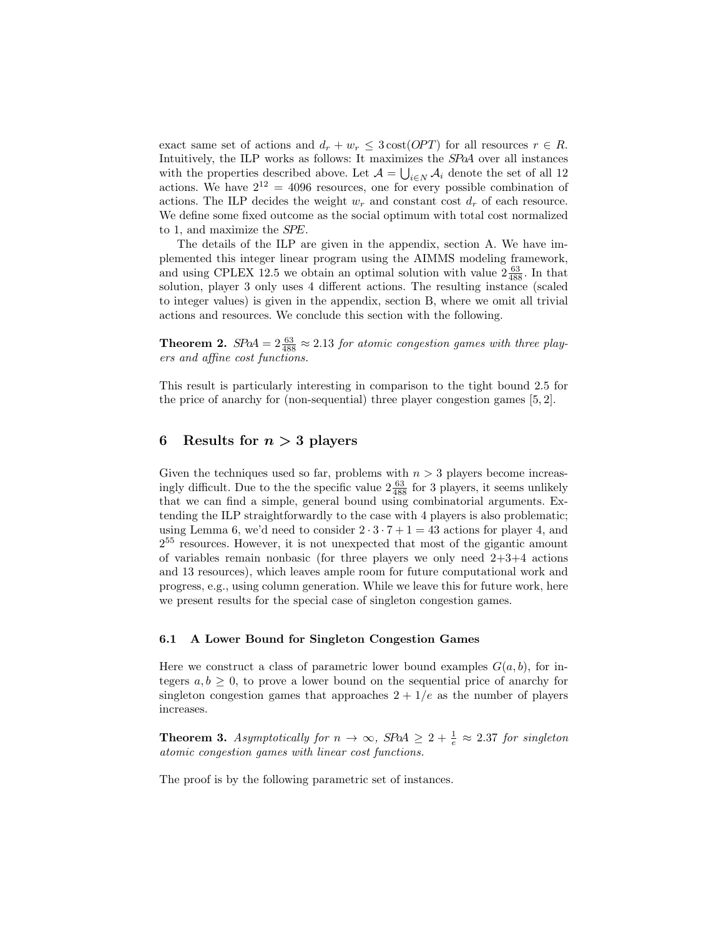exact same set of actions and  $d_r + w_r \leq 3 \cot(OPT)$  for all resources  $r \in R$ . Intuitively, the ILP works as follows: It maximizes the SPoA over all instances with the properties described above. Let  $A = \bigcup_{i \in N} A_i$  denote the set of all 12 actions. We have  $2^{12} = 4096$  resources, one for every possible combination of actions. The ILP decides the weight  $w_r$  and constant cost  $d_r$  of each resource. We define some fixed outcome as the social optimum with total cost normalized to 1, and maximize the SPE.

The details of the ILP are given in the appendix, section A. We have implemented this integer linear program using the AIMMS modeling framework, and using CPLEX 12.5 we obtain an optimal solution with value  $2\frac{63}{488}$ . In that solution, player 3 only uses 4 different actions. The resulting instance (scaled to integer values) is given in the appendix, section B, where we omit all trivial actions and resources. We conclude this section with the following.

**Theorem 2.**  $SPA = 2\frac{63}{488} \approx 2.13$  for atomic congestion games with three players and affine cost functions.

This result is particularly interesting in comparison to the tight bound 2.5 for the price of anarchy for (non-sequential) three player congestion games [5, 2].

## 6 Results for  $n > 3$  players

Given the techniques used so far, problems with  $n > 3$  players become increasingly difficult. Due to the the specific value  $2\frac{63}{488}$  for 3 players, it seems unlikely that we can find a simple, general bound using combinatorial arguments. Extending the ILP straightforwardly to the case with 4 players is also problematic; using Lemma 6, we'd need to consider  $2 \cdot 3 \cdot 7 + 1 = 43$  actions for player 4, and 2 <sup>55</sup> resources. However, it is not unexpected that most of the gigantic amount of variables remain nonbasic (for three players we only need  $2+3+4$  actions and 13 resources), which leaves ample room for future computational work and progress, e.g., using column generation. While we leave this for future work, here we present results for the special case of singleton congestion games.

#### 6.1 A Lower Bound for Singleton Congestion Games

Here we construct a class of parametric lower bound examples  $G(a, b)$ , for integers  $a, b \geq 0$ , to prove a lower bound on the sequential price of anarchy for singleton congestion games that approaches  $2 + 1/e$  as the number of players increases.

**Theorem 3.** Asymptotically for  $n \to \infty$ , SPoA  $\geq 2 + \frac{1}{e} \approx 2.37$  for singleton atomic congestion games with linear cost functions.

The proof is by the following parametric set of instances.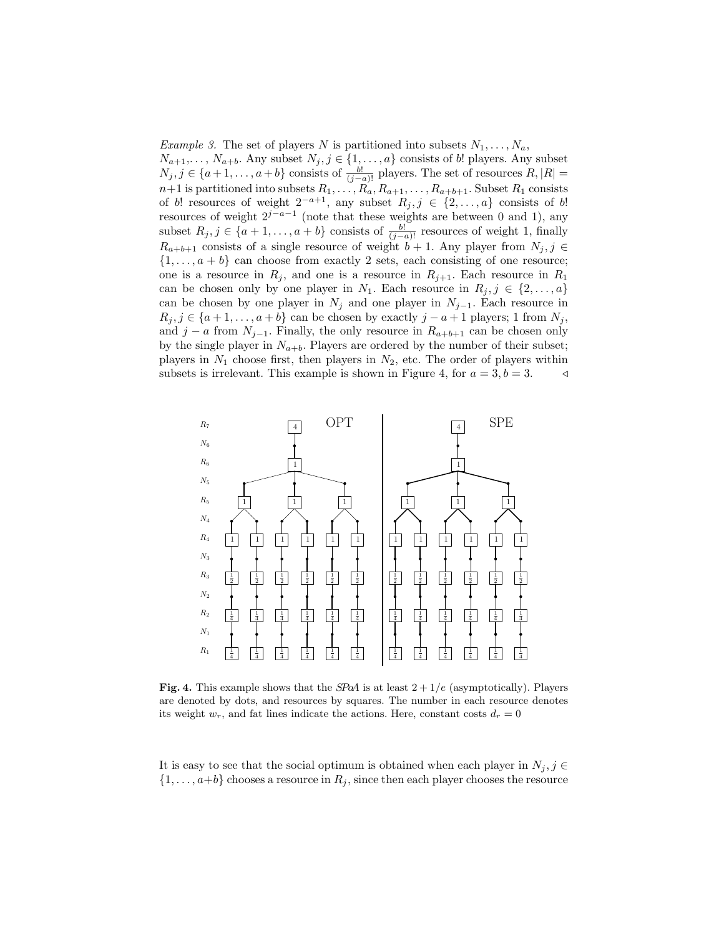*Example 3.* The set of players N is partitioned into subsets  $N_1, \ldots, N_a$ ,  $N_{a+1}, \ldots, N_{a+b}$ . Any subset  $N_j, j \in \{1, \ldots, a\}$  consists of b! players. Any subset  $N_j, j \in \{a+1,\ldots,a+b\}$  consists of  $\frac{b!}{(j-a)!}$  players. The set of resources  $R, |R| =$  $n+1$  is partitioned into subsets  $R_1, \ldots, R_a, R_{a+1}, \ldots, R_{a+b+1}$ . Subset  $R_1$  consists of b! resources of weight  $2^{-a+1}$ , any subset  $R_j, j \in \{2, ..., a\}$  consists of b! resources of weight  $2^{j-a-1}$  (note that these weights are between 0 and 1), any subset  $R_j, j \in \{a+1,\ldots,a+b\}$  consists of  $\frac{b!}{(j-a)!}$  resources of weight 1, finally  $R_{a+b+1}$  consists of a single resource of weight  $b+1$ . Any player from  $N_j, j \in$  $\{1, \ldots, a + b\}$  can choose from exactly 2 sets, each consisting of one resource; one is a resource in  $R_j$ , and one is a resource in  $R_{j+1}$ . Each resource in  $R_1$ can be chosen only by one player in  $N_1$ . Each resource in  $R_j, j \in \{2, \ldots, a\}$ can be chosen by one player in  $N_j$  and one player in  $N_{j-1}$ . Each resource in  $R_j, j \in \{a+1,\ldots,a+b\}$  can be chosen by exactly  $j-a+1$  players; 1 from  $N_j$ , and  $j - a$  from  $N_{j-1}$ . Finally, the only resource in  $R_{a+b+1}$  can be chosen only by the single player in  $N_{a+b}$ . Players are ordered by the number of their subset; players in  $N_1$  choose first, then players in  $N_2$ , etc. The order of players within subsets is irrelevant. This example is shown in Figure 4, for  $a = 3, b = 3$ .



Fig. 4. This example shows that the SPoA is at least  $2 + 1/e$  (asymptotically). Players are denoted by dots, and resources by squares. The number in each resource denotes its weight  $w_r$ , and fat lines indicate the actions. Here, constant costs  $d_r = 0$ 

It is easy to see that the social optimum is obtained when each player in  $N_j$ , j  $\in$  $\{1, \ldots, a+b\}$  chooses a resource in  $R_j$ , since then each player chooses the resource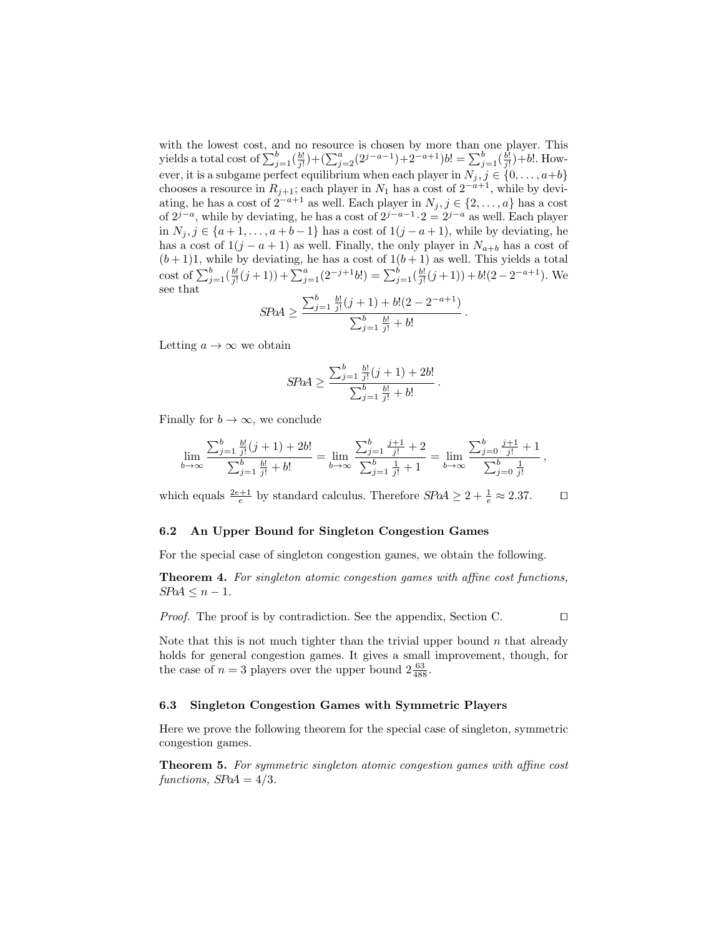with the lowest cost, and no resource is chosen by more than one player. This yields a total cost of  $\sum_{j=1}^{b}(\frac{b!}{j!})+(\sum_{j=2}^{a}(2^{j-a-1})+2^{-a+1})b! = \sum_{j=1}^{b}(\frac{b!}{j!})+b!.$  However, it is a subgame perfect equilibrium when each player in  $N_j, j \in \{0, \ldots, a+b\}$ chooses a resource in  $R_{j+1}$ ; each player in  $N_1$  has a cost of  $2^{-a+1}$ , while by deviating, he has a cost of  $2^{-a+1}$  as well. Each player in  $N_j, j \in \{2, ..., a\}$  has a cost of  $2^{j-a}$ , while by deviating, he has a cost of  $2^{j-a-1} \cdot 2 = 2^{j-a}$  as well. Each player in  $N_j$ ,  $j \in \{a+1,\ldots,a+b-1\}$  has a cost of  $1(j-a+1)$ , while by deviating, he has a cost of  $1(j - a + 1)$  as well. Finally, the only player in  $N_{a+b}$  has a cost of  $(b+1)1$ , while by deviating, he has a cost of  $1(b+1)$  as well. This yields a total cost of  $\sum_{j=1}^{b}(\frac{b!}{j!}(j+1)) + \sum_{j=1}^{a}(2^{-j+1}b!) = \sum_{j=1}^{b}(\frac{b!}{j!}(j+1)) + b!(2-2^{-a+1}).$  We see that  $\sum_{i=1}^{b} \frac{b!}{i!} (j+1) + b! (2 - 2^{-a+1})$ 

$$
SPoA \ge \frac{\sum_{j=1}^{b} \frac{b!}{j!} (j+1) + b! (2 - 2^{-a+1})}{\sum_{j=1}^{b} \frac{b!}{j!} + b!}
$$

.

.

Letting  $a \to \infty$  we obtain

$$
SPoA \ge \frac{\sum_{j=1}^{b} \frac{b!}{j!} (j+1) + 2b!}{\sum_{j=1}^{b} \frac{b!}{j!} + b!}
$$

Finally for  $b \to \infty$ , we conclude

$$
\lim_{b \to \infty} \frac{\sum_{j=1}^{b} \frac{b!}{j!} (j+1) + 2b!}{\sum_{j=1}^{b} \frac{b!}{j!} + b!} = \lim_{b \to \infty} \frac{\sum_{j=1}^{b} \frac{j+1}{j!} + 2}{\sum_{j=1}^{b} \frac{1}{j!} + 1} = \lim_{b \to \infty} \frac{\sum_{j=0}^{b} \frac{j+1}{j!} + 1}{\sum_{j=0}^{b} \frac{1}{j!}},
$$

which equals  $\frac{2e+1}{e}$  by standard calculus. Therefore  $SPA \geq 2 + \frac{1}{e} \approx 2.37$ .

#### 6.2 An Upper Bound for Singleton Congestion Games

For the special case of singleton congestion games, we obtain the following.

Theorem 4. For singleton atomic congestion games with affine cost functions,  $S\!\!P\!\!o\!A \leq n-1.$ 

*Proof.* The proof is by contradiction. See the appendix, Section C.  $\Box$ 

Note that this is not much tighter than the trivial upper bound  $n$  that already holds for general congestion games. It gives a small improvement, though, for the case of  $n=3$  players over the upper bound  $2\frac{63}{488}$ .

#### 6.3 Singleton Congestion Games with Symmetric Players

Here we prove the following theorem for the special case of singleton, symmetric congestion games.

Theorem 5. For symmetric singleton atomic congestion games with affine cost functions,  $S\rightarrow A = 4/3$ .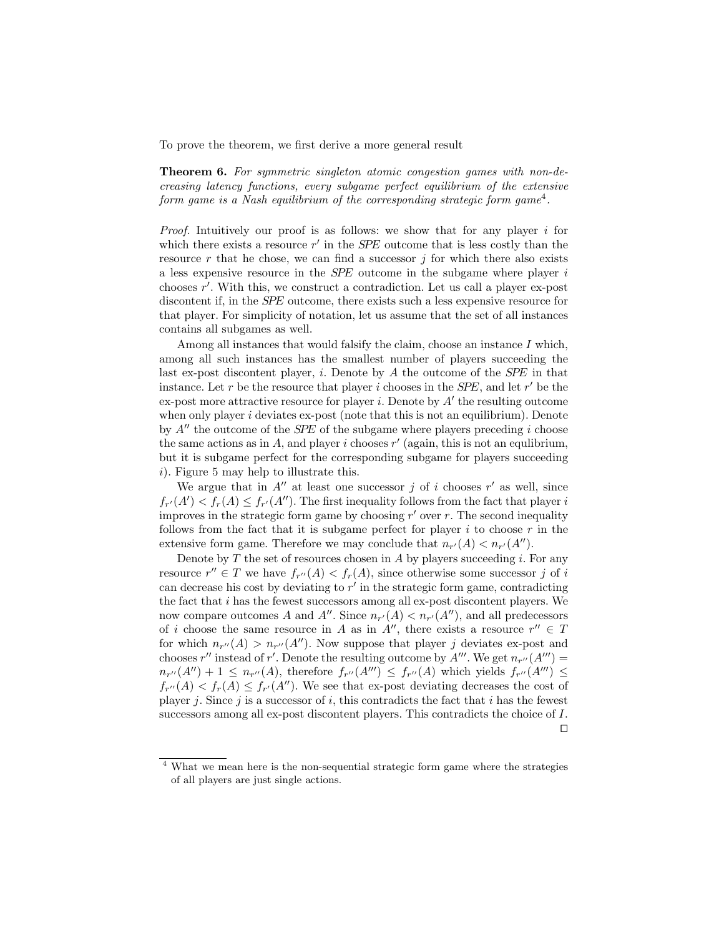To prove the theorem, we first derive a more general result

Theorem 6. For symmetric singleton atomic congestion games with non-decreasing latency functions, every subgame perfect equilibrium of the extensive form game is a Nash equilibrium of the corresponding strategic form game<sup>4</sup>.

Proof. Intuitively our proof is as follows: we show that for any player i for which there exists a resource  $r'$  in the *SPE* outcome that is less costly than the resource  $r$  that he chose, we can find a successor  $j$  for which there also exists a less expensive resource in the SPE outcome in the subgame where player i chooses  $r'$ . With this, we construct a contradiction. Let us call a player ex-post discontent if, in the SPE outcome, there exists such a less expensive resource for that player. For simplicity of notation, let us assume that the set of all instances contains all subgames as well.

Among all instances that would falsify the claim, choose an instance  $I$  which, among all such instances has the smallest number of players succeeding the last ex-post discontent player, i. Denote by  $A$  the outcome of the *SPE* in that instance. Let r be the resource that player i chooses in the  $SPE$ , and let r' be the  $ex$ -post more attractive resource for player *i*. Denote by  $A'$  the resulting outcome when only player  $i$  deviates ex-post (note that this is not an equilibrium). Denote by  $A''$  the outcome of the *SPE* of the subgame where players preceding i choose the same actions as in A, and player i chooses  $r'$  (again, this is not an equlibrium, but it is subgame perfect for the corresponding subgame for players succeeding i). Figure 5 may help to illustrate this.

We argue that in  $A''$  at least one successor j of i chooses r' as well, since  $f_{r'}(A') < f_r(A) \leq f_{r'}(A'')$ . The first inequality follows from the fact that player i improves in the strategic form game by choosing  $r'$  over  $r$ . The second inequality follows from the fact that it is subgame perfect for player  $i$  to choose  $r$  in the extensive form game. Therefore we may conclude that  $n_{r'}(A) < n_{r'}(A'')$ .

Denote by  $T$  the set of resources chosen in  $A$  by players succeeding  $i$ . For any resource  $r'' \in T$  we have  $f_{r''}(A) < f_r(A)$ , since otherwise some successor j of i can decrease his cost by deviating to  $r'$  in the strategic form game, contradicting the fact that  $i$  has the fewest successors among all ex-post discontent players. We now compare outcomes A and  $A''$ . Since  $n_{r'}(A) < n_{r'}(A'')$ , and all predecessors of i choose the same resource in A as in  $A''$ , there exists a resource  $r'' \in T$ for which  $n_{r''}(A) > n_{r''}(A'')$ . Now suppose that player j deviates ex-post and chooses r'' instead of r'. Denote the resulting outcome by  $A'''$ . We get  $n_{r''}(A''') =$  $n_{r''}(A'')+1 \leq n_{r''}(A)$ , therefore  $f_{r''}(A''') \leq f_{r''}(A)$  which yields  $f_{r''}(A''') \leq$  $f_{r''}(A) < f_r(A) \leq f_{r'}(A'')$ . We see that ex-post deviating decreases the cost of player j. Since j is a successor of i, this contradicts the fact that i has the fewest successors among all ex-post discontent players. This contradicts the choice of I.  $\Box$ 

<sup>4</sup> What we mean here is the non-sequential strategic form game where the strategies of all players are just single actions.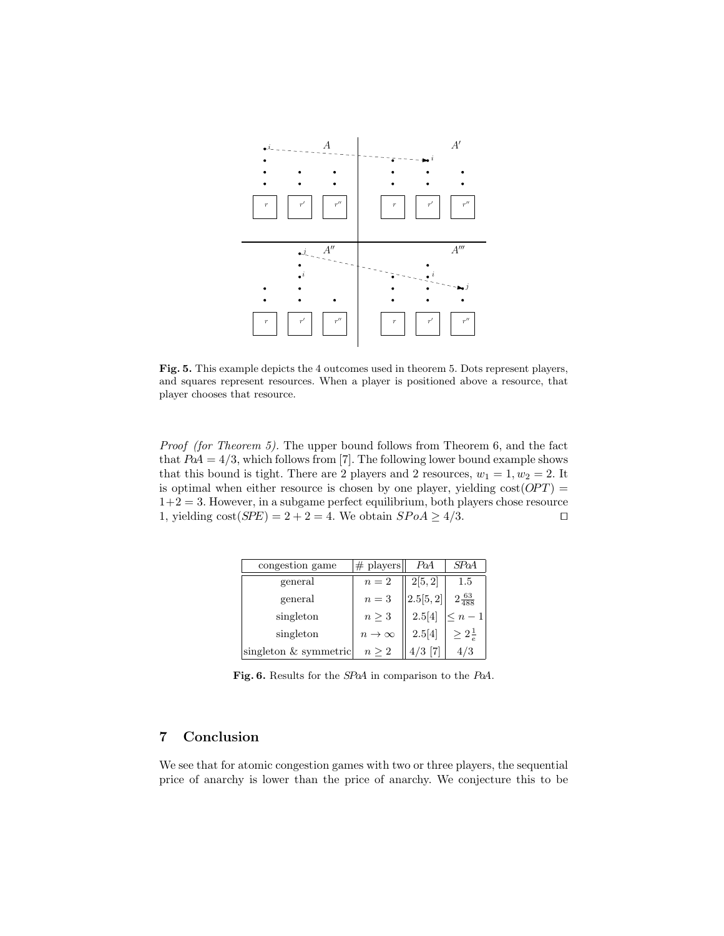

Fig. 5. This example depicts the 4 outcomes used in theorem 5. Dots represent players, and squares represent resources. When a player is positioned above a resource, that player chooses that resource.

Proof (for Theorem 5). The upper bound follows from Theorem 6, and the fact that  $PoA = 4/3$ , which follows from [7]. The following lower bound example shows that this bound is tight. There are 2 players and 2 resources,  $w_1 = 1, w_2 = 2$ . It is optimal when either resource is chosen by one player, yielding  $cost(OPT)$  =  $1+2=3$ . However, in a subgame perfect equilibrium, both players chose resource 1, yielding  $cost(SPE) = 2 + 2 = 4$ . We obtain  $SPoA \ge 4/3$ .

| congestion game         | $#$ players    | PoA       | SPoA                   |
|-------------------------|----------------|-----------|------------------------|
| general                 | $n=2$          | 2[5, 2]   | 1.5                    |
| general                 | $n=3$          | [2.5[5,2] | $2\frac{63}{488}$      |
| singleton               | $n \geq 3$     | 2.5[4]    | $\leq n-1$             |
| singleton               | $n \to \infty$ | 2.5[4]    | $\geq 2^{\frac{1}{z}}$ |
| singleton $&$ symmetric | $n \geq 2$     |           | ′3                     |

Fig. 6. Results for the SPoA in comparison to the PoA.

# 7 Conclusion

We see that for atomic congestion games with two or three players, the sequential price of anarchy is lower than the price of anarchy. We conjecture this to be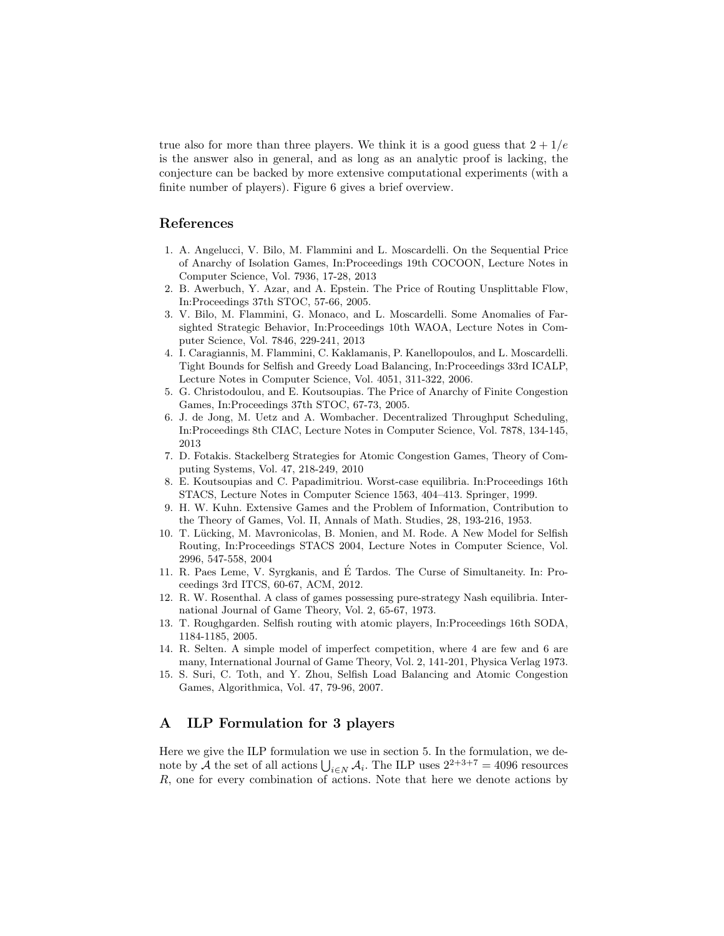true also for more than three players. We think it is a good guess that  $2 + 1/e$ is the answer also in general, and as long as an analytic proof is lacking, the conjecture can be backed by more extensive computational experiments (with a finite number of players). Figure 6 gives a brief overview.

## References

- 1. A. Angelucci, V. Bilo, M. Flammini and L. Moscardelli. On the Sequential Price of Anarchy of Isolation Games, In:Proceedings 19th COCOON, Lecture Notes in Computer Science, Vol. 7936, 17-28, 2013
- 2. B. Awerbuch, Y. Azar, and A. Epstein. The Price of Routing Unsplittable Flow, In:Proceedings 37th STOC, 57-66, 2005.
- 3. V. Bilo, M. Flammini, G. Monaco, and L. Moscardelli. Some Anomalies of Farsighted Strategic Behavior, In:Proceedings 10th WAOA, Lecture Notes in Computer Science, Vol. 7846, 229-241, 2013
- 4. I. Caragiannis, M. Flammini, C. Kaklamanis, P. Kanellopoulos, and L. Moscardelli. Tight Bounds for Selfish and Greedy Load Balancing, In:Proceedings 33rd ICALP, Lecture Notes in Computer Science, Vol. 4051, 311-322, 2006.
- 5. G. Christodoulou, and E. Koutsoupias. The Price of Anarchy of Finite Congestion Games, In:Proceedings 37th STOC, 67-73, 2005.
- 6. J. de Jong, M. Uetz and A. Wombacher. Decentralized Throughput Scheduling, In:Proceedings 8th CIAC, Lecture Notes in Computer Science, Vol. 7878, 134-145, 2013
- 7. D. Fotakis. Stackelberg Strategies for Atomic Congestion Games, Theory of Computing Systems, Vol. 47, 218-249, 2010
- 8. E. Koutsoupias and C. Papadimitriou. Worst-case equilibria. In:Proceedings 16th STACS, Lecture Notes in Computer Science 1563, 404–413. Springer, 1999.
- 9. H. W. Kuhn. Extensive Games and the Problem of Information, Contribution to the Theory of Games, Vol. II, Annals of Math. Studies, 28, 193-216, 1953.
- 10. T. Lücking, M. Mavronicolas, B. Monien, and M. Rode. A New Model for Selfish Routing, In:Proceedings STACS 2004, Lecture Notes in Computer Science, Vol. 2996, 547-558, 2004
- 11. R. Paes Leme, V. Syrgkanis, and E Tardos. The Curse of Simultaneity. In: Pro- ´ ceedings 3rd ITCS, 60-67, ACM, 2012.
- 12. R. W. Rosenthal. A class of games possessing pure-strategy Nash equilibria. International Journal of Game Theory, Vol. 2, 65-67, 1973.
- 13. T. Roughgarden. Selfish routing with atomic players, In:Proceedings 16th SODA, 1184-1185, 2005.
- 14. R. Selten. A simple model of imperfect competition, where 4 are few and 6 are many, International Journal of Game Theory, Vol. 2, 141-201, Physica Verlag 1973.
- 15. S. Suri, C. Toth, and Y. Zhou, Selfish Load Balancing and Atomic Congestion Games, Algorithmica, Vol. 47, 79-96, 2007.

# A ILP Formulation for 3 players

Here we give the ILP formulation we use in section 5. In the formulation, we denote by A the set of all actions  $\bigcup_{i\in N} A_i$ . The ILP uses  $2^{2+3+7} = 4096$  resources R, one for every combination of actions. Note that here we denote actions by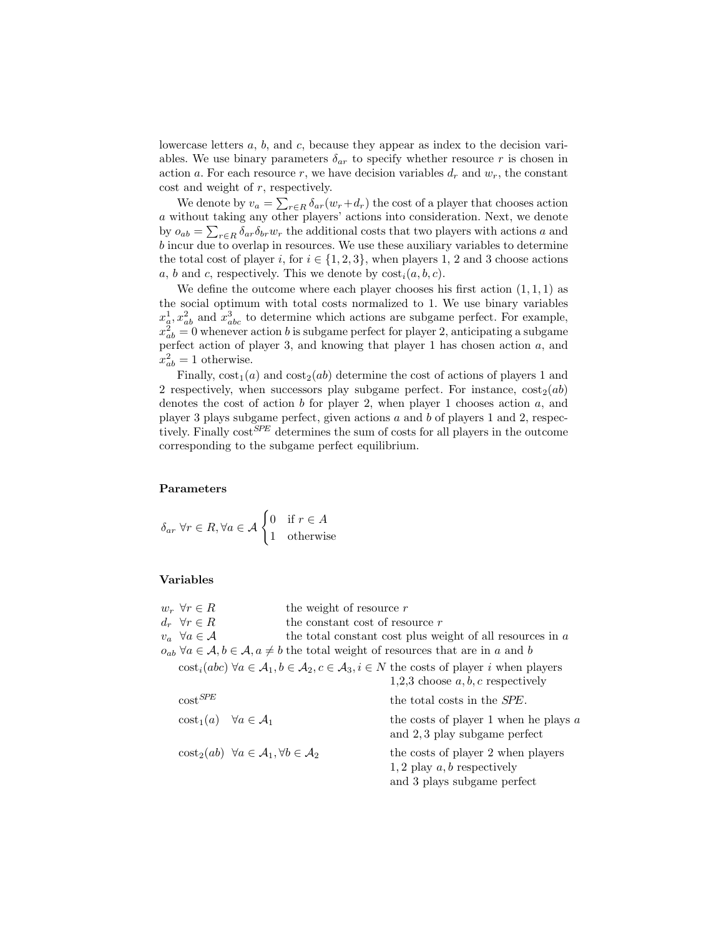lowercase letters a, b, and c, because they appear as index to the decision variables. We use binary parameters  $\delta_{ar}$  to specify whether resource r is chosen in action a. For each resource r, we have decision variables  $d_r$  and  $w_r$ , the constant  $\cot$  and weight of  $r$ , respectively.

We denote by  $v_a = \sum_{r \in R} \delta_{ar}(w_r + d_r)$  the cost of a player that chooses action a without taking any other players' actions into consideration. Next, we denote by  $o_{ab} = \sum_{r \in R} \delta_{ar} \delta_{br} w_r$  the additional costs that two players with actions a and b incur due to overlap in resources. We use these auxiliary variables to determine the total cost of player i, for  $i \in \{1, 2, 3\}$ , when players 1, 2 and 3 choose actions a, b and c, respectively. This we denote by  $\text{cost}_i(a, b, c)$ .

We define the outcome where each player chooses his first action  $(1,1,1)$  as the social optimum with total costs normalized to 1. We use binary variables  $x_a^1, x_{ab}^2$  and  $x_{abc}^3$  to determine which actions are subgame perfect. For example,  $x_{ab}^2 = 0$  whenever action b is subgame perfect for player 2, anticipating a subgame perfect action of player 3, and knowing that player 1 has chosen action a, and  $x_{ab}^2 = 1$  otherwise.

Finally,  $cost_1(a)$  and  $cost_2(ab)$  determine the cost of actions of players 1 and 2 respectively, when successors play subgame perfect. For instance,  $\cos t_2(ab)$ denotes the cost of action  $b$  for player 2, when player 1 chooses action  $a$ , and player 3 plays subgame perfect, given actions  $a$  and  $b$  of players 1 and 2, respectively. Finally  $cost^{SPE}$  determines the sum of costs for all players in the outcome corresponding to the subgame perfect equilibrium.

#### Parameters

 $\delta_{ar}$   $\forall r \in R, \forall a \in \mathcal{A}$   $\begin{cases} 0 & \text{if } r \in A \\ 1 & \text{otherwise} \end{cases}$ 1 otherwise

#### Variables

| $w_r \;\forall r \in R$                                                 | the weight of resource $r$                                                                      |                                                                                                                                                   |  |  |  |  |  |  |
|-------------------------------------------------------------------------|-------------------------------------------------------------------------------------------------|---------------------------------------------------------------------------------------------------------------------------------------------------|--|--|--|--|--|--|
| $d_r \ \ \forall r \in R$                                               | the constant cost of resource $r$                                                               |                                                                                                                                                   |  |  |  |  |  |  |
| $v_a \ \ \forall a \in \mathcal{A}$                                     | the total constant cost plus weight of all resources in $a$                                     |                                                                                                                                                   |  |  |  |  |  |  |
|                                                                         | $o_{ab}$ $\forall a \in A, b \in A, a \neq b$ the total weight of resources that are in a and b |                                                                                                                                                   |  |  |  |  |  |  |
|                                                                         |                                                                                                 | $\text{cost}_i(abc)$ $\forall a \in A_1, b \in A_2, c \in A_3, i \in N$ the costs of player i when players<br>1,2,3 choose $a, b, c$ respectively |  |  |  |  |  |  |
| $\mathrm{cost}^\mathit{SPE}$                                            |                                                                                                 | the total costs in the <i>SPE</i> .                                                                                                               |  |  |  |  |  |  |
| $\text{cost}_1(a) \quad \forall a \in \mathcal{A}_1$                    |                                                                                                 | the costs of player 1 when he plays $a$<br>and 2,3 play subgame perfect                                                                           |  |  |  |  |  |  |
| $\cot_2(ab) \ \forall a \in \mathcal{A}_1, \forall b \in \mathcal{A}_2$ |                                                                                                 | the costs of player 2 when players<br>1, 2 play $a, b$ respectively<br>and 3 plays subgame perfect                                                |  |  |  |  |  |  |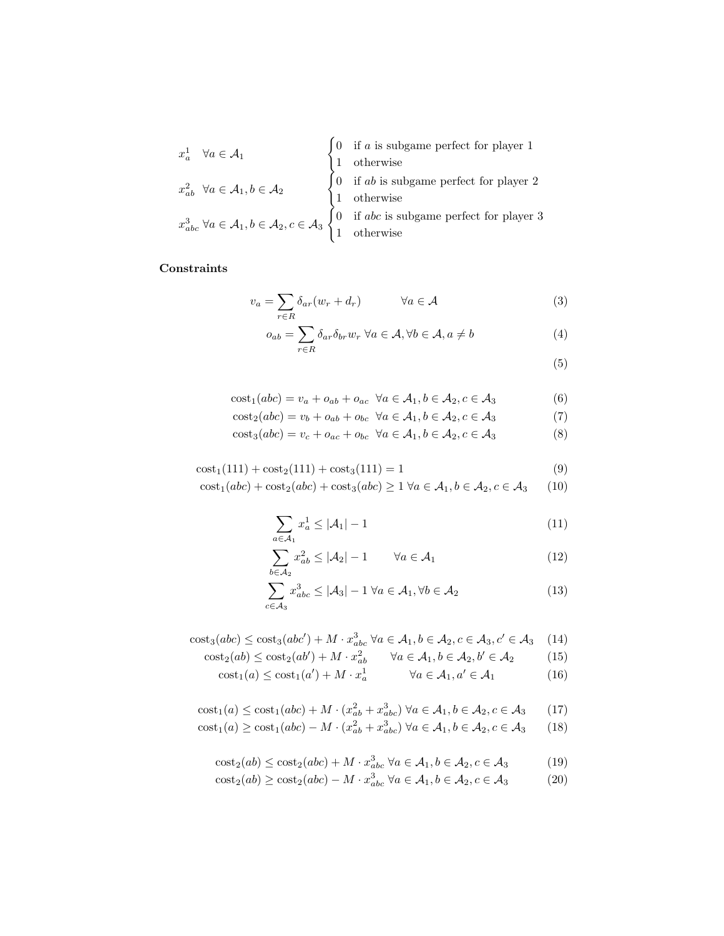$$
x_a^1 \quad \forall a \in \mathcal{A}_1
$$
\n
$$
x_{ab}^2 \quad \forall a \in \mathcal{A}_1, b \in \mathcal{A}_2
$$
\n
$$
x_{abc}^3 \quad \forall a \in \mathcal{A}_1, b \in \mathcal{A}_2, c \in \mathcal{A}_3
$$
\n
$$
\begin{cases}\n0 & \text{if } a \text{ is subgame perfect for player 1} \\
1 & \text{otherwise} \\
1 & \text{otherwise}\n\end{cases}
$$
\n
$$
x_{abc}^3 \quad \forall a \in \mathcal{A}_1, b \in \mathcal{A}_2, c \in \mathcal{A}_3
$$
\n
$$
\begin{cases}\n0 & \text{if } ab \text{ is subgame perfect for player 2} \\
1 & \text{otherwise}\n\end{cases}
$$

# Constraints

$$
v_a = \sum_{r \in R} \delta_{ar}(w_r + d_r) \qquad \forall a \in \mathcal{A}
$$
 (3)

$$
o_{ab} = \sum_{r \in R} \delta_{ar} \delta_{br} w_r \ \forall a \in \mathcal{A}, \forall b \in \mathcal{A}, a \neq b \tag{4}
$$

(5)

$$
cost1(abc) = va + oab + oac \forall a \in A1, b \in A2, c \in A3
$$
 (6)

$$
\cos t_2(abc) = v_b + o_{ab} + o_{bc} \quad \forall a \in \mathcal{A}_1, b \in \mathcal{A}_2, c \in \mathcal{A}_3 \tag{7}
$$

$$
cost3(abc) = vc + oac + obc \forall a \in A1, b \in A2, c \in A3
$$
 (8)

$$
cost1(111) + cost2(111) + cost3(111) = 1
$$
\n(9)

 $\label{eq:cost1} \mathrm{cost}_1(abc) + \mathrm{cost}_2(abc) + \mathrm{cost}_3(abc) \geq 1 \; \forall a \in \mathcal{A}_1, b \in \mathcal{A}_2, c \in \mathcal{A}_3 \qquad (10)$ 

$$
\sum_{a \in \mathcal{A}_1} x_a^1 \le |\mathcal{A}_1| - 1 \tag{11}
$$

$$
\sum_{b \in \mathcal{A}_2} x_{ab}^2 \le |\mathcal{A}_2| - 1 \qquad \forall a \in \mathcal{A}_1 \tag{12}
$$

$$
\sum_{c \in \mathcal{A}_3} x_{abc}^3 \le |\mathcal{A}_3| - 1 \,\forall a \in \mathcal{A}_1, \forall b \in \mathcal{A}_2 \tag{13}
$$

$$
cost_3(abc) \leq cost_3(abc') + M \cdot x_{abc}^3 \ \forall a \in \mathcal{A}_1, b \in \mathcal{A}_2, c \in \mathcal{A}_3, c' \in \mathcal{A}_3 \tag{14}
$$

$$
\text{cost}_2(ab) \le \text{cost}_2(ab') + M \cdot x_{ab}^2 \qquad \forall a \in \mathcal{A}_1, b \in \mathcal{A}_2, b' \in \mathcal{A}_2 \tag{15}
$$

$$
\text{cost}_1(a) \le \text{cost}_1(a') + M \cdot x_a^1 \qquad \forall a \in \mathcal{A}_1, a' \in \mathcal{A}_1 \tag{16}
$$

$$
\text{cost}_1(a) \le \text{cost}_1(abc) + M \cdot (x_{ab}^2 + x_{abc}^3) \,\forall a \in \mathcal{A}_1, b \in \mathcal{A}_2, c \in \mathcal{A}_3 \tag{17}
$$

$$
\text{cost}_1(a) \ge \text{cost}_1(abc) - M \cdot (x_{ab}^2 + x_{abc}^3) \,\forall a \in \mathcal{A}_1, b \in \mathcal{A}_2, c \in \mathcal{A}_3 \tag{18}
$$

$$
\cos t_2(ab) \le \cos t_2(abc) + M \cdot x_{abc}^3 \ \forall a \in \mathcal{A}_1, b \in \mathcal{A}_2, c \in \mathcal{A}_3 \tag{19}
$$
\n
$$
\operatorname{cost}_2(ab) \ge \operatorname{cost}_2(abc) - M \cdot x^3 \quad \forall a \in \mathcal{A}_1, b \in \mathcal{A}_2, c \in \mathcal{A}_2 \tag{20}
$$

$$
cost2(ab) \ge cost2(abc) - M \cdot xabc3 \forall a \in A1, b \in A2, c \in A3
$$
 (20)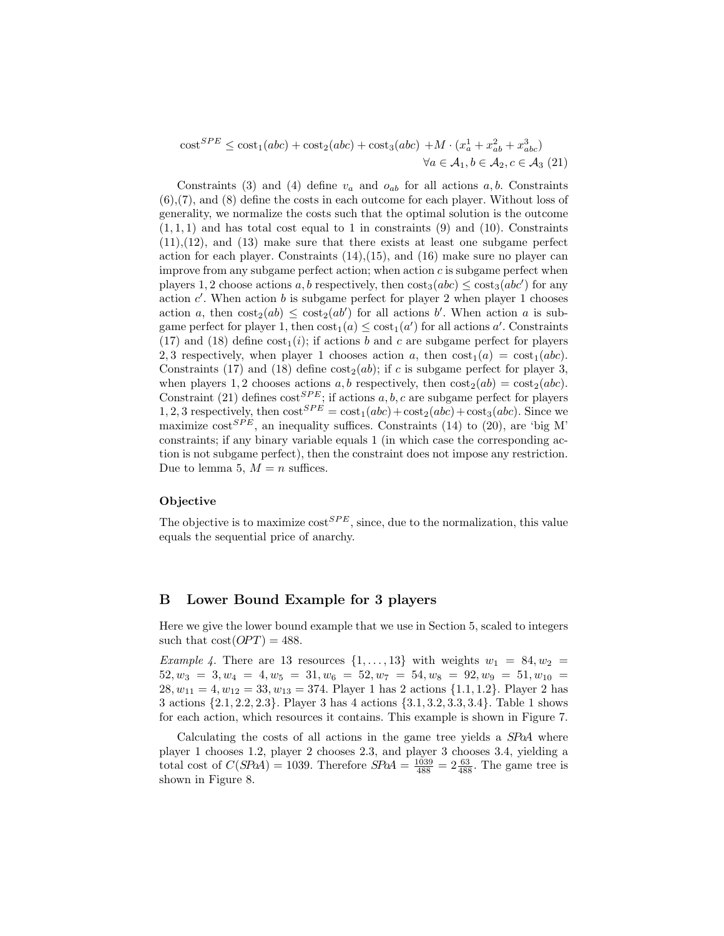$\text{cost}^{SPE} \leq \text{cost}_1(abc) + \text{cost}_2(abc) + \text{cost}_3(abc) + M \cdot (x_a^1 + x_{ab}^2 + x_{abc}^3)$  $\forall a \in \mathcal{A}_1, b \in \mathcal{A}_2, c \in \mathcal{A}_3$  (21)

Constraints (3) and (4) define  $v_a$  and  $o_{ab}$  for all actions  $a, b$ . Constraints (6),(7), and (8) define the costs in each outcome for each player. Without loss of generality, we normalize the costs such that the optimal solution is the outcome  $(1, 1, 1)$  and has total cost equal to 1 in constraints  $(9)$  and  $(10)$ . Constraints (11),(12), and (13) make sure that there exists at least one subgame perfect action for each player. Constraints  $(14),(15)$ , and  $(16)$  make sure no player can improve from any subgame perfect action; when action  $c$  is subgame perfect when players 1, 2 choose actions a, b respectively, then  $\cos t_3(abc) \leq \cos t_3(abc')$  for any action  $c'$ . When action b is subgame perfect for player 2 when player 1 chooses action a, then  $\cos t_2(ab) \leq \cos t_2(ab')$  for all actions b. When action a is subgame perfect for player 1, then  $cost_1(a) \leq cost_1(a')$  for all actions a'. Constraints (17) and (18) define  $\text{cost}_1(i)$ ; if actions b and c are subgame perfect for players 2, 3 respectively, when player 1 chooses action a, then  $\text{cost}_1(a) = \text{cost}_1(abc)$ . Constraints (17) and (18) define  $\cos t_2(ab)$ ; if c is subgame perfect for player 3, when players 1, 2 chooses actions a, b respectively, then  $\cos t_2(ab) = \cos t_2(abc)$ . Constraint (21) defines  $\cos t^{SPE}$ ; if actions a, b, c are subgame perfect for players 1, 2, 3 respectively, then  $\cos^{\{SPE\}} = \cos t_1(abc) + \cos t_2(abc) + \cos t_3(abc)$ . Since we maximize  $\cos^{SPE}$ , an inequality suffices. Constraints (14) to (20), are 'big M' constraints; if any binary variable equals 1 (in which case the corresponding action is not subgame perfect), then the constraint does not impose any restriction. Due to lemma 5,  $M = n$  suffices.

#### Objective

The objective is to maximize  $\cos^{SPE}$ , since, due to the normalization, this value equals the sequential price of anarchy.

#### B Lower Bound Example for 3 players

Here we give the lower bound example that we use in Section 5, scaled to integers such that  $cost(OPT) = 488$ .

*Example 4.* There are 13 resources  $\{1, \ldots, 13\}$  with weights  $w_1 = 84, w_2 =$  $52, w_3 = 3, w_4 = 4, w_5 = 31, w_6 = 52, w_7 = 54, w_8 = 92, w_9 = 51, w_{10} =$  $28, w_{11} = 4, w_{12} = 33, w_{13} = 374.$  Player 1 has 2 actions  $\{1.1, 1.2\}$ . Player 2 has 3 actions {2.1, 2.2, 2.3}. Player 3 has 4 actions {3.1, 3.2, 3.3, 3.4}. Table 1 shows for each action, which resources it contains. This example is shown in Figure 7.

Calculating the costs of all actions in the game tree yields a SPoA where player 1 chooses 1.2, player 2 chooses 2.3, and player 3 chooses 3.4, yielding a total cost of  $C(SPaA) = 1039$ . Therefore  $SPaA = \frac{1039}{488} = 2\frac{63}{488}$ . The game tree is shown in Figure 8.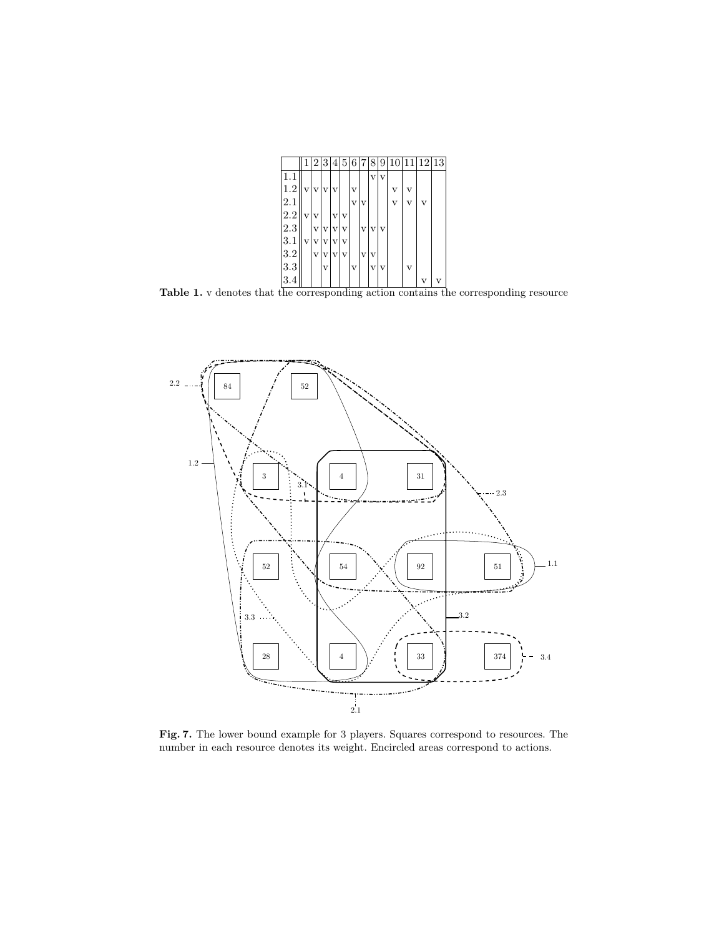|         |   | 2                       | 3                       |                         | 4 5                     | 16                      |   | 8                       | 9            | 10 |   | 12 13 |
|---------|---|-------------------------|-------------------------|-------------------------|-------------------------|-------------------------|---|-------------------------|--------------|----|---|-------|
| 1.1     |   |                         |                         |                         |                         |                         |   | $\overline{\mathbf{V}}$ | $\mathbf{V}$ |    |   |       |
| 1.2     | V | V                       | $\mathbf{V}$            | $\overline{\mathbf{V}}$ |                         | v                       |   |                         |              | v  | v |       |
| 2.1     |   |                         |                         |                         |                         | $\overline{\mathbf{V}}$ | V |                         |              | v  |   |       |
| 2.2     | V | $\overline{\mathbf{V}}$ |                         |                         | V V                     |                         |   |                         |              |    |   |       |
| 2.3     |   | $\rm _V$                | $\overline{\mathbf{v}}$ | V                       | $\overline{\mathbf{v}}$ |                         | V | $\mathbf{V}$            | $\mathbf v$  |    |   |       |
| 3.1     | V | v                       | V                       | $\mathbf{v}$            | $\overline{\mathbf{V}}$ |                         |   |                         |              |    |   |       |
| $3.2\,$ |   | V                       | v                       | v                       | $\mathbf{V}$            |                         | V |                         |              |    |   |       |
| 3.3     |   |                         | v                       |                         |                         | v                       |   |                         | vlv          |    | v |       |
| 3.4     |   |                         |                         |                         |                         |                         |   |                         |              |    |   |       |

Table 1. v denotes that the corresponding action contains the corresponding resource



Fig. 7. The lower bound example for 3 players. Squares correspond to resources. The number in each resource denotes its weight. Encircled areas correspond to actions.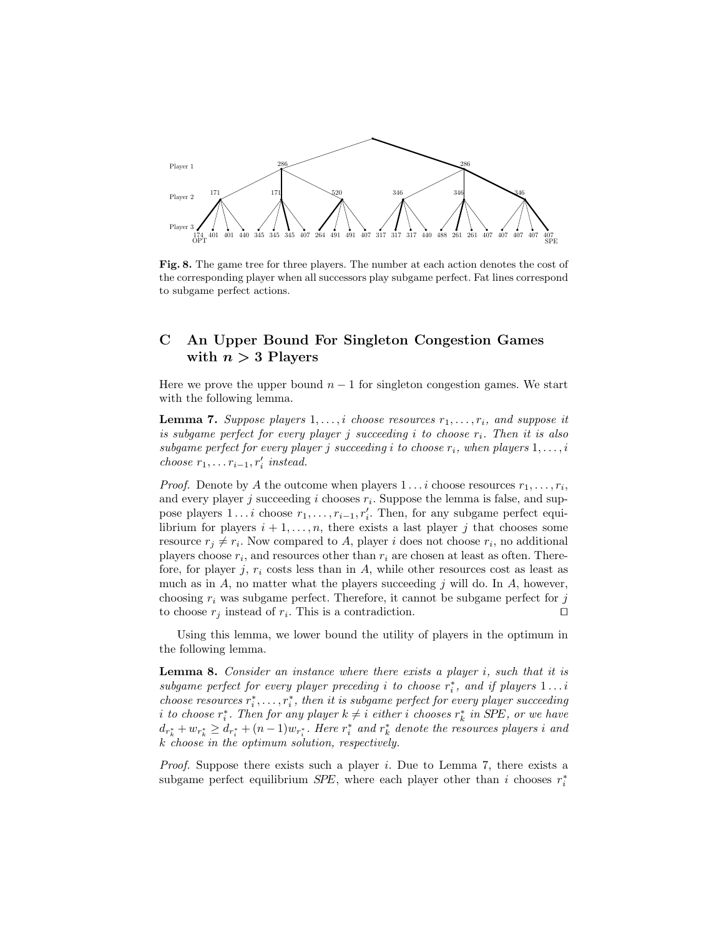

Fig. 8. The game tree for three players. The number at each action denotes the cost of the corresponding player when all successors play subgame perfect. Fat lines correspond to subgame perfect actions.

# C An Upper Bound For Singleton Congestion Games with  $n > 3$  Players

Here we prove the upper bound  $n-1$  for singleton congestion games. We start with the following lemma.

**Lemma 7.** Suppose players  $1, \ldots, i$  choose resources  $r_1, \ldots, r_i$ , and suppose it is subgame perfect for every player j succeeding i to choose  $r_i$ . Then it is also subgame perfect for every player j succeeding i to choose  $r_i$ , when players  $1, \ldots, i$ choose  $r_1, \ldots r_{i-1}, r'_i$  instead.

*Proof.* Denote by A the outcome when players  $1 \dots i$  choose resources  $r_1, \dots, r_i$ , and every player  $j$  succeeding  $i$  chooses  $r_i$ . Suppose the lemma is false, and suppose players  $1 \ldots i$  choose  $r_1, \ldots, r_{i-1}, r'_i$ . Then, for any subgame perfect equilibrium for players  $i + 1, \ldots, n$ , there exists a last player j that chooses some resource  $r_j \neq r_i$ . Now compared to A, player i does not choose  $r_i$ , no additional players choose  $r_i$ , and resources other than  $r_i$  are chosen at least as often. Therefore, for player j,  $r_i$  costs less than in A, while other resources cost as least as much as in  $A$ , no matter what the players succeeding  $j$  will do. In  $A$ , however, choosing  $r_i$  was subgame perfect. Therefore, it cannot be subgame perfect for j to choose  $r_j$  instead of  $r_i$ . This is a contradiction.

Using this lemma, we lower bound the utility of players in the optimum in the following lemma.

**Lemma 8.** Consider an instance where there exists a player  $i$ , such that it is subgame perfect for every player preceding i to choose  $r_i^*$ , and if players  $1 \dots i$ choose resources  $r_i^*, \ldots, r_i^*$ , then it is subgame perfect for every player succeeding i to choose  $r_i^*$ . Then for any player  $k \neq i$  either i chooses  $r_k^*$  in SPE, or we have  $d_{r_k^*} + w_{r_k^*} \geq d_{r_i^*} + (n-1)w_{r_i^*}$ . Here  $r_i^*$  and  $r_k^*$  denote the resources players i and k choose in the optimum solution, respectively.

*Proof.* Suppose there exists such a player i. Due to Lemma 7, there exists a subgame perfect equilibrium  $SPE$ , where each player other than i chooses  $r_i^*$